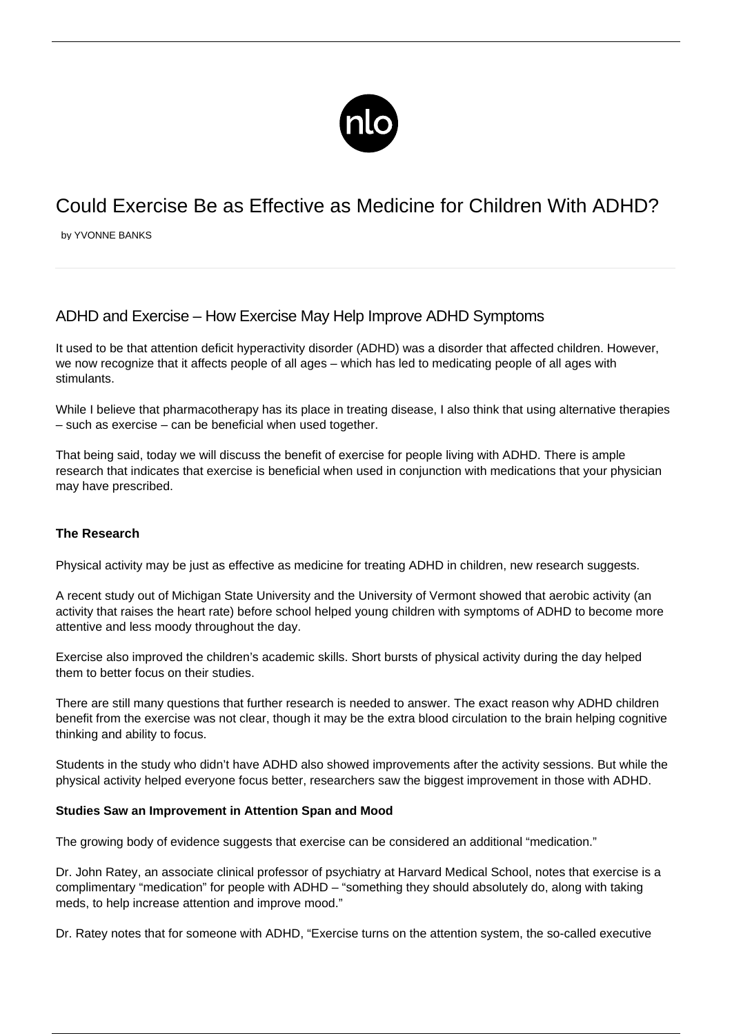

# Could Exercise Be as Effective as Medicine for Children With ADHD?

by YVONNE BANKS

## ADHD and Exercise – How Exercise May Help Improve ADHD Symptoms

It used to be that attention deficit hyperactivity disorder (ADHD) was a disorder that affected children. However, we now recognize that it affects people of all ages – which has led to medicating people of all ages with stimulants.

While I believe that pharmacotherapy has its place in treating disease, I also think that using [alternative therapies](/alternative-therapies-for-adhd/) – such as exercise – can be beneficial when used together.

That being said, today we will discuss the benefit of exercise for people living with ADHD. There is ample research that indicates that exercise is beneficial when used in conjunction with medications that your physician may have prescribed.

### **The Research**

Physical activity may be just as effective as medicine for treating ADHD in children, new research suggests.

A recent study out of Michigan State University and the University of Vermont showed that aerobic activity (an activity that raises the heart rate) before school helped [young children with symptoms of ADHD](/adhd-symptoms-in-children/) to become more attentive and [less moody](/keeping-emotions-check/) throughout the day.

Exercise also improved the children's academic skills. Short bursts of physical activity during the day helped them to better focus on their studies.

There are still many questions that further research is needed to answer. The exact reason why ADHD children benefit from the exercise was not clear, though it may be the extra blood circulation to the brain helping cognitive thinking and ability to focus.

Students in the study who didn't have ADHD also showed improvements after the activity sessions. But while the physical activity helped everyone focus better, researchers saw the biggest improvement in those with ADHD.

#### **Studies Saw an Improvement in Attention Span and Mood**

The growing body of evidence suggests that exercise can be considered an additional "medication."

Dr. John Ratey, an associate clinical professor of psychiatry at Harvard Medical School, notes that exercise is a complimentary "medication" for people with ADHD – "something they should absolutely do, along with taking meds, to help increase attention and improve mood."

Dr. Ratey notes that for someone with ADHD, "Exercise turns on the attention system, the so-called executive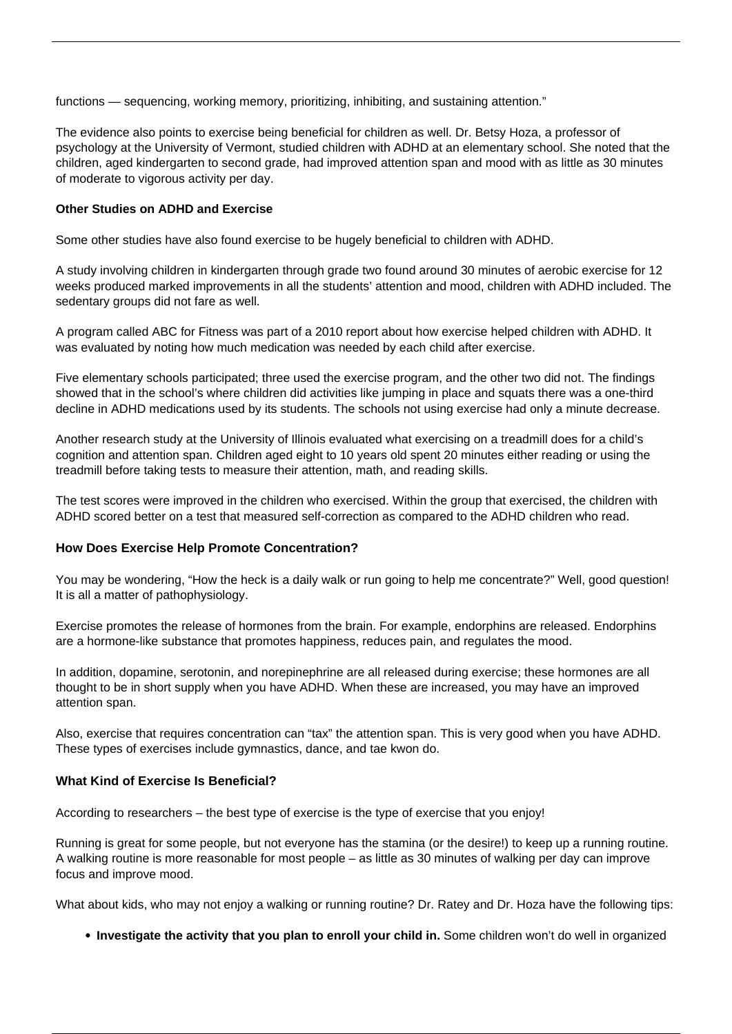functions — sequencing, working memory, prioritizing, inhibiting, and sustaining attention."

The evidence also points to exercise being beneficial for children as well. Dr. Betsy Hoza, a professor of psychology at the University of Vermont, studied children with ADHD at an elementary school. She noted that the children, aged kindergarten to second grade, had improved attention span and mood with as little as 30 minutes of moderate to vigorous activity per day.

#### **Other Studies on ADHD and Exercise**

Some other studies have also found exercise to be hugely beneficial to children with ADHD.

A study involving children in kindergarten through grade two found around 30 minutes of aerobic exercise for 12 weeks produced marked improvements in all the students' attention and mood, children with ADHD included. The sedentary groups did not fare as well.

A program called ABC for Fitness was part of a 2010 report about how exercise helped children with ADHD. It was evaluated by noting how much medication was needed by each child after exercise.

Five elementary schools participated; three used the exercise program, and the other two did not. The findings showed that in the school's where children did activities like jumping in place and squats there was a one-third decline in [ADHD medications](/adhd-medications-for-children/) used by its students. The schools not using exercise had only a minute decrease.

Another research study at the University of Illinois evaluated what exercising on a treadmill does for a child's cognition and attention span. Children aged eight to 10 years old spent 20 minutes either reading or using the treadmill before taking tests to measure their attention, math, and reading skills.

The test scores were improved in the children who exercised. Within the group that exercised, the children with ADHD scored better on a test that measured self-correction as compared to the ADHD children who read.

#### **How Does Exercise Help Promote Concentration?**

You may be wondering, "How the heck is a daily walk or run going to help me concentrate?" Well, good question! It is all a matter of pathophysiology.

Exercise promotes the release of hormones from the brain. For example, endorphins are released. Endorphins are a hormone-like substance that promotes happiness, reduces pain, and regulates the mood.

In addition, dopamine, serotonin, and norepinephrine are all released during exercise; these hormones are all thought to be in short supply when you have ADHD. When these are increased, you may have an [improved](http://adhdliving.today/adhd-living/concentrating-with-adhd/) [attention span](http://adhdliving.today/adhd-living/concentrating-with-adhd/).

Also, exercise that requires concentration can "tax" the attention span. This is very good when you have ADHD. These types of exercises include gymnastics, dance, and tae kwon do.

#### **What Kind of Exercise Is Beneficial?**

According to researchers – the best type of exercise is the type of exercise that you enjoy!

Running is great for some people, but not everyone has the stamina (or the desire!) to keep up a running routine. A walking routine is more reasonable for most people – as little as 30 minutes of walking per day can improve focus and improve mood.

What about kids, who may not enjoy a walking or running routine? Dr. Ratey and Dr. Hoza have the following tips:

**Investigate the activity that you plan to enroll your child in.** Some children won't do well in organized